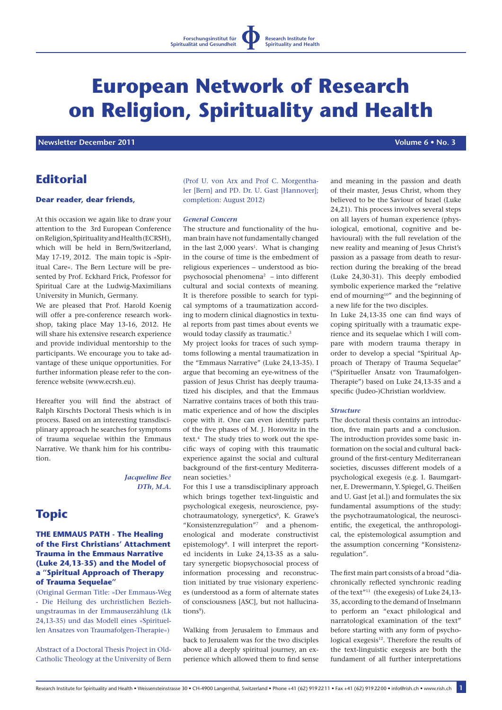# **European Network of Research on Religion, Spirituality and Health**

 **Newsletter December 2011 1999 12:20 Contract Contract Contract Contract Contract Contract Contract Contract Contract Contract Contract Contract Contract Contract Contract Contract Contract Contract Contract Contract Co** 

### **Editorial**

### **Dear reader, dear friends,**

At this occasion we again like to draw your attention to the 3rd European Conference on Religion, Spirituality and Health (ECRSH), which will be held in Bern/Switzerland, May 17-19, 2012. The main topic is »Spiritual Care«. The Bern Lecture will be presented by Prof. Eckhard Frick, Professor for Spiritual Care at the Ludwig-Maximilians University in Munich, Germany.

We are pleased that Prof. Harold Koenig will offer a pre-conference research workshop, taking place May 13-16, 2012. He will share his extensive research experience and provide individual mentorship to the participants. We encourage you to take advantage of these unique opportunities. For further information please refer to the conference website (www.ecrsh.eu).

Hereafter you will find the abstract of Ralph Kirschts Doctoral Thesis which is in process. Based on an interesting transdisciplinary approach he searches for symptoms of trauma sequelae within the Emmaus Narrative. We thank him for his contribution.

> *Jacqueline Bee DTh, M.A.*

## **Topic**

### **THE EMMAUS PATH - The Healing of the First Christians' Attachment Trauma in the Emmaus Narrative (Luke 24,13-35) and the Model of a "Spiritual Approach of Therapy of Trauma Sequelae"**

(Original German Title: »Der Emmaus-Weg - Die Heilung des urchristlichen Beziehungstraumas in der Emmauserzählung (Lk 24,13-35) und das Modell eines »Spirituellen Ansatzes von Traumafolgen-Therapie«)

Abstract of a Doctoral Thesis Project in Old-Catholic Theology at the University of Bern

(Prof U. von Arx and Prof C. Morgenthaler [Bern] and PD. Dr. U. Gast [Hannover]; completion: August 2012)

#### *General Concern*

The structure and functionality of the human brain have not fundamentally changed in the last  $2,000$  years<sup>1</sup>. What is changing in the course of time is the embedment of religious experiences – understood as biopsychosocial phenomena2 – into different cultural and social contexts of meaning. It is therefore possible to search for typical symptoms of a traumatization according to modern clinical diagnostics in textual reports from past times about events we would today classify as traumatic.<sup>3</sup>

My project looks for traces of such symptoms following a mental traumatization in the "Emmaus Narrative" (Luke 24,13-35). I argue that becoming an eye-witness of the passion of Jesus Christ has deeply traumatized his disciples, and that the Emmaus Narrative contains traces of both this traumatic experience and of how the disciples cope with it. One can even identify parts of the five phases of M. J. Horowitz in the text.4 The study tries to work out the specific ways of coping with this traumatic experience against the social and cultural background of the first-century Mediterranean societies.<sup>5</sup>

For this I use a transdisciplinary approach which brings together text-linguistic and psychological exegesis, neuroscience, psychotraumatology, synergetics<sup>6</sup>, K. Grawe's "Konsistenzregulation"7 and a phenomenological and moderate constructivist epistemology8. I will interpret the reported incidents in Luke 24,13-35 as a salutary synergetic biopsychosocial process of information processing and reconstruction initiated by true visionary experiences (understood as a form of alternate states of consciousness [ASC], but not hallucinations9).

Walking from Jerusalem to Emmaus and back to Jerusalem was for the two disciples above all a deeply spiritual journey, an experience which allowed them to find sense and meaning in the passion and death of their master, Jesus Christ, whom they believed to be the Saviour of Israel (Luke 24,21). This process involves several steps on all layers of human experience (physiological, emotional, cognitive and behavioural) with the full revelation of the new reality and meaning of Jesus Christ's passion as a passage from death to resurrection during the breaking of the bread (Luke 24,30-31). This deeply embodied symbolic experience marked the "relative end of mourning10" and the beginning of a new life for the two disciples.

In Luke 24,13-35 one can find ways of coping spiritually with a traumatic experience and its sequelae which I will compare with modern trauma therapy in order to develop a special "Spiritual Approach of Therapy of Trauma Sequelae" ("Spiritueller Ansatz von Traumafolgen-Therapie") based on Luke 24,13-35 and a specific (Judeo-)Christian worldview.

#### *Structure*

The doctoral thesis contains an introduction, five main parts and a conclusion. The introduction provides some basic information on the social and cultural background of the first-century Mediterranean societies, discusses different models of a psychological exegesis (e.g. I. Baumgartner, E. Drewermann, Y. Spiegel, G. Theißen and U. Gast [et al.]) and formulates the six fundamental assumptions of the study: the psychotraumatological, the neuroscientific, the exegetical, the anthropological, the epistemological assumption and the assumption concerning "Konsistenzregulation".

The first main part consists of a broad "diachronically reflected synchronic reading of the text"11 (the exegesis) of Luke 24,13- 35, according to the demand of Inselmann to perform an "exact philological and narratological examination of the text" before starting with any form of psychological exegesis<sup>12</sup>. Therefore the results of the text-linguistic exegesis are both the fundament of all further interpretations